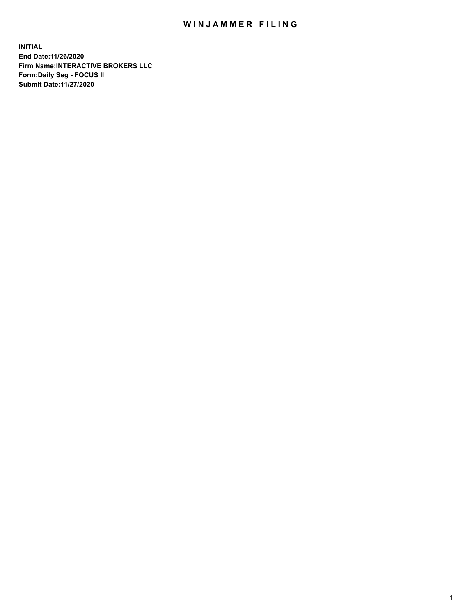## WIN JAMMER FILING

**INITIAL End Date:11/26/2020 Firm Name:INTERACTIVE BROKERS LLC Form:Daily Seg - FOCUS II Submit Date:11/27/2020**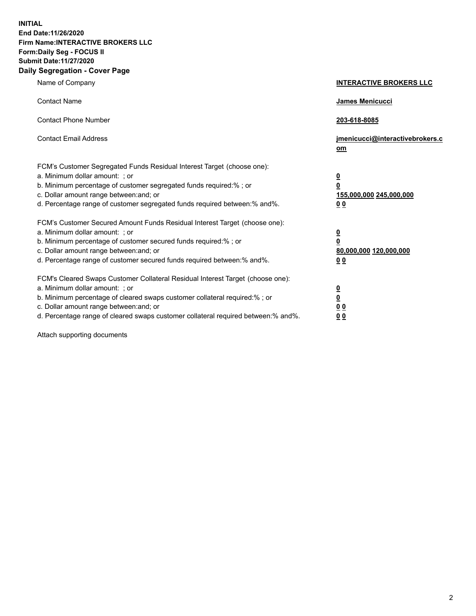**INITIAL End Date:11/26/2020 Firm Name:INTERACTIVE BROKERS LLC Form:Daily Seg - FOCUS II Submit Date:11/27/2020 Daily Segregation - Cover Page**

| Name of Company                                                                                                                                                                                                                                                                                                                | <b>INTERACTIVE BROKERS LLC</b>                                                         |
|--------------------------------------------------------------------------------------------------------------------------------------------------------------------------------------------------------------------------------------------------------------------------------------------------------------------------------|----------------------------------------------------------------------------------------|
| <b>Contact Name</b>                                                                                                                                                                                                                                                                                                            | James Menicucci                                                                        |
| <b>Contact Phone Number</b>                                                                                                                                                                                                                                                                                                    | 203-618-8085                                                                           |
| <b>Contact Email Address</b>                                                                                                                                                                                                                                                                                                   | jmenicucci@interactivebrokers.c<br>$om$                                                |
| FCM's Customer Segregated Funds Residual Interest Target (choose one):<br>a. Minimum dollar amount: ; or<br>b. Minimum percentage of customer segregated funds required:% ; or<br>c. Dollar amount range between: and; or<br>d. Percentage range of customer segregated funds required between:% and%.                         | $\overline{\mathbf{0}}$<br>$\overline{\mathbf{0}}$<br>155,000,000 245,000,000<br>00    |
| FCM's Customer Secured Amount Funds Residual Interest Target (choose one):<br>a. Minimum dollar amount: ; or<br>b. Minimum percentage of customer secured funds required:%; or<br>c. Dollar amount range between: and; or<br>d. Percentage range of customer secured funds required between:% and%.                            | $\overline{\mathbf{0}}$<br>$\pmb{0}$<br>80,000,000 120,000,000<br>0 <sub>0</sub>       |
| FCM's Cleared Swaps Customer Collateral Residual Interest Target (choose one):<br>a. Minimum dollar amount: ; or<br>b. Minimum percentage of cleared swaps customer collateral required:% ; or<br>c. Dollar amount range between: and; or<br>d. Percentage range of cleared swaps customer collateral required between:% and%. | $\overline{\mathbf{0}}$<br>$\overline{\mathbf{0}}$<br>0 <sub>0</sub><br>0 <sub>0</sub> |

Attach supporting documents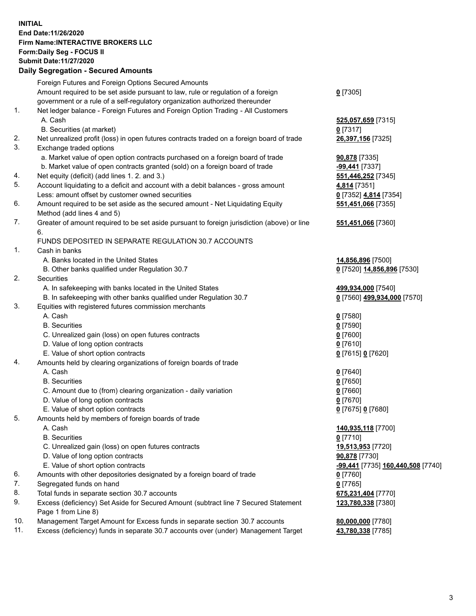**INITIAL End Date:11/26/2020 Firm Name:INTERACTIVE BROKERS LLC Form:Daily Seg - FOCUS II Submit Date:11/27/2020 Daily Segregation - Secured Amounts**

|                | Daily Jegregation - Jeculed Aniounts                                                                                                                              |                                   |
|----------------|-------------------------------------------------------------------------------------------------------------------------------------------------------------------|-----------------------------------|
|                | Foreign Futures and Foreign Options Secured Amounts                                                                                                               |                                   |
|                | Amount required to be set aside pursuant to law, rule or regulation of a foreign                                                                                  | $0$ [7305]                        |
|                | government or a rule of a self-regulatory organization authorized thereunder                                                                                      |                                   |
| 1.             | Net ledger balance - Foreign Futures and Foreign Option Trading - All Customers                                                                                   |                                   |
|                | A. Cash                                                                                                                                                           | 525,057,659 [7315]                |
|                | B. Securities (at market)                                                                                                                                         | $0$ [7317]                        |
| 2.             | Net unrealized profit (loss) in open futures contracts traded on a foreign board of trade                                                                         | 26,397,156 [7325]                 |
| 3.             | Exchange traded options                                                                                                                                           |                                   |
|                | a. Market value of open option contracts purchased on a foreign board of trade                                                                                    | <b>90,878</b> [7335]              |
|                | b. Market value of open contracts granted (sold) on a foreign board of trade                                                                                      | -99,441 [7337]                    |
| 4.             | Net equity (deficit) (add lines 1. 2. and 3.)                                                                                                                     | 551,446,252 [7345]                |
| 5.             | Account liquidating to a deficit and account with a debit balances - gross amount                                                                                 | 4,814 [7351]                      |
|                | Less: amount offset by customer owned securities                                                                                                                  | 0 [7352] 4,814 [7354]             |
| 6.             | Amount required to be set aside as the secured amount - Net Liquidating Equity                                                                                    | 551,451,066 [7355]                |
|                | Method (add lines 4 and 5)                                                                                                                                        |                                   |
| 7.             | Greater of amount required to be set aside pursuant to foreign jurisdiction (above) or line                                                                       | 551,451,066 [7360]                |
|                | 6.                                                                                                                                                                |                                   |
|                | FUNDS DEPOSITED IN SEPARATE REGULATION 30.7 ACCOUNTS                                                                                                              |                                   |
| $\mathbf{1}$ . | Cash in banks                                                                                                                                                     |                                   |
|                | A. Banks located in the United States                                                                                                                             | 14,856,896 [7500]                 |
|                | B. Other banks qualified under Regulation 30.7                                                                                                                    | 0 [7520] 14,856,896 [7530]        |
| 2.             | Securities                                                                                                                                                        |                                   |
|                | A. In safekeeping with banks located in the United States                                                                                                         | 499,934,000 [7540]                |
|                | B. In safekeeping with other banks qualified under Regulation 30.7                                                                                                | 0 [7560] 499,934,000 [7570]       |
| 3.             | Equities with registered futures commission merchants                                                                                                             |                                   |
|                | A. Cash                                                                                                                                                           | $0$ [7580]                        |
|                | <b>B.</b> Securities                                                                                                                                              | $0$ [7590]                        |
|                | C. Unrealized gain (loss) on open futures contracts                                                                                                               | $0$ [7600]                        |
|                | D. Value of long option contracts                                                                                                                                 | $0$ [7610]                        |
|                | E. Value of short option contracts                                                                                                                                | 0 [7615] 0 [7620]                 |
| 4.             | Amounts held by clearing organizations of foreign boards of trade                                                                                                 |                                   |
|                | A. Cash                                                                                                                                                           | $0$ [7640]                        |
|                | <b>B.</b> Securities                                                                                                                                              | $0$ [7650]                        |
|                | C. Amount due to (from) clearing organization - daily variation                                                                                                   | $0$ [7660]                        |
|                | D. Value of long option contracts                                                                                                                                 | $0$ [7670]                        |
|                | E. Value of short option contracts                                                                                                                                | 0 [7675] 0 [7680]                 |
| 5.             | Amounts held by members of foreign boards of trade                                                                                                                |                                   |
|                | A. Cash                                                                                                                                                           | 140,935,118 [7700]                |
|                | <b>B.</b> Securities                                                                                                                                              | $0$ [7710]                        |
|                | C. Unrealized gain (loss) on open futures contracts                                                                                                               | 19,513,953 [7720]                 |
|                | D. Value of long option contracts                                                                                                                                 | 90,878 [7730]                     |
|                | E. Value of short option contracts                                                                                                                                | -99,441 [7735] 160,440,508 [7740] |
| 6.             | Amounts with other depositories designated by a foreign board of trade                                                                                            | $0$ [7760]                        |
| 7.             | Segregated funds on hand                                                                                                                                          | $0$ [7765]                        |
| 8.             | Total funds in separate section 30.7 accounts                                                                                                                     | 675,231,404 [7770]                |
| 9.             | Excess (deficiency) Set Aside for Secured Amount (subtract line 7 Secured Statement                                                                               | 123,780,338 [7380]                |
| 10.            | Page 1 from Line 8)                                                                                                                                               |                                   |
| 11.            | Management Target Amount for Excess funds in separate section 30.7 accounts<br>Excess (deficiency) funds in separate 30.7 accounts over (under) Management Target | 80,000,000 [7780]                 |
|                |                                                                                                                                                                   | 43,780,338 [7785]                 |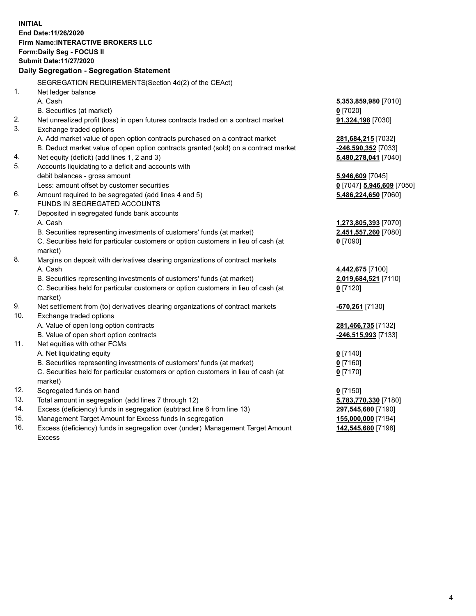**INITIAL End Date:11/26/2020 Firm Name:INTERACTIVE BROKERS LLC Form:Daily Seg - FOCUS II Submit Date:11/27/2020 Daily Segregation - Segregation Statement** SEGREGATION REQUIREMENTS(Section 4d(2) of the CEAct) 1. Net ledger balance A. Cash **5,353,859,980** [7010] B. Securities (at market) **0** [7020] 2. Net unrealized profit (loss) in open futures contracts traded on a contract market **91,324,198** [7030] 3. Exchange traded options A. Add market value of open option contracts purchased on a contract market **281,684,215** [7032] B. Deduct market value of open option contracts granted (sold) on a contract market **-246,590,352** [7033] 4. Net equity (deficit) (add lines 1, 2 and 3) **5,480,278,041** [7040] 5. Accounts liquidating to a deficit and accounts with debit balances - gross amount **5,946,609** [7045] Less: amount offset by customer securities **0** [7047] **5,946,609** [7050] 6. Amount required to be segregated (add lines 4 and 5) **5,486,224,650** [7060] FUNDS IN SEGREGATED ACCOUNTS 7. Deposited in segregated funds bank accounts A. Cash **1,273,805,393** [7070] B. Securities representing investments of customers' funds (at market) **2,451,557,260** [7080] C. Securities held for particular customers or option customers in lieu of cash (at market) **0** [7090] 8. Margins on deposit with derivatives clearing organizations of contract markets A. Cash **4,442,675** [7100] B. Securities representing investments of customers' funds (at market) **2,019,684,521** [7110] C. Securities held for particular customers or option customers in lieu of cash (at market) **0** [7120] 9. Net settlement from (to) derivatives clearing organizations of contract markets **-670,261** [7130] 10. Exchange traded options A. Value of open long option contracts **281,466,735** [7132] B. Value of open short option contracts **-246,515,993** [7133] 11. Net equities with other FCMs A. Net liquidating equity **0** [7140] B. Securities representing investments of customers' funds (at market) **0** [7160] C. Securities held for particular customers or option customers in lieu of cash (at market) **0** [7170] 12. Segregated funds on hand **0** [7150] 13. Total amount in segregation (add lines 7 through 12) **5,783,770,330** [7180] 14. Excess (deficiency) funds in segregation (subtract line 6 from line 13) **297,545,680** [7190] 15. Management Target Amount for Excess funds in segregation **155,000,000** [7194] 16. Excess (deficiency) funds in segregation over (under) Management Target Amount **142,545,680** [7198]

Excess